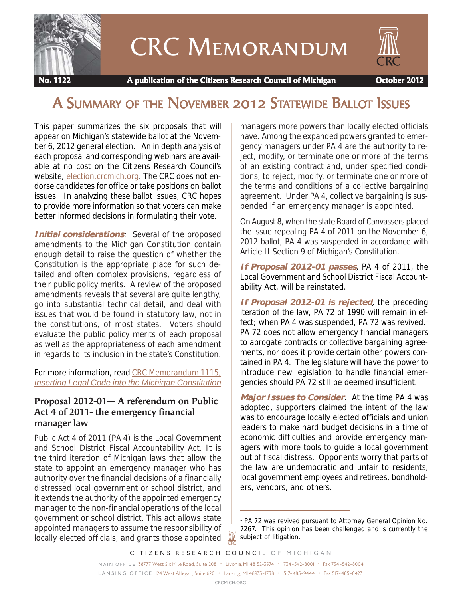

# CRC Memorandum



 **No. 1122 A publication of the Citizens Research Council of Michigan October 2012**

# A SUMMARY OF THE NOVEMBER 2012 STATEWIDE BALLOT ISSUES

This paper summarizes the six proposals that will appear on Michigan's statewide ballot at the November 6, 2012 general election. An in depth analysis of each proposal and corresponding webinars are available at no cost on the Citizens Research Council's website, [election.crcmich.org.](http://election.crcmich.org) The CRC does not endorse candidates for office or take positions on ballot issues. In analyzing these ballot issues, CRC hopes to provide more information so that voters can make better informed decisions in formulating their vote.

**Initial considerations**: Several of the proposed amendments to the Michigan Constitution contain enough detail to raise the question of whether the Constitution is the appropriate place for such detailed and often complex provisions, regardless of their public policy merits. A review of the proposed amendments reveals that several are quite lengthy, go into substantial technical detail, and deal with issues that would be found in statutory law, not in the constitutions, of most states. Voters should evaluate the public policy merits of each proposal as well as the appropriateness of each amendment in regards to its inclusion in the state's Constitution.

For more information, read [CRC Memorandum 1115,](http://crcmich.org/PUBLICAT/2010s/2012/memo1115.html) *[Inserting Legal Code into the Michigan Constitution](http://crcmich.org/PUBLICAT/2010s/2012/memo1115.html)*

# **Proposal 2012-01— A referendum on Public Act 4 of 2011- the emergency financial manager law**

Public Act 4 of 2011 (PA 4) is the Local Government and School District Fiscal Accountability Act. It is the third iteration of Michigan laws that allow the state to appoint an emergency manager who has authority over the financial decisions of a financially distressed local government or school district, and it extends the authority of the appointed emergency manager to the non-financial operations of the local government or school district. This act allows state appointed managers to assume the responsibility of locally elected officials, and grants those appointed managers more powers than locally elected officials have. Among the expanded powers granted to emergency managers under PA 4 are the authority to reject, modify, or terminate one or more of the terms of an existing contract and, under specified conditions, to reject, modify, or terminate one or more of the terms and conditions of a collective bargaining agreement. Under PA 4, collective bargaining is suspended if an emergency manager is appointed.

On August 8, when the state Board of Canvassers placed the issue repealing PA 4 of 2011 on the November 6, 2012 ballot, PA 4 was suspended in accordance with Article II Section 9 of Michigan's Constitution.

**If Proposal 2012-01 passes**, PA 4 of 2011, the Local Government and School District Fiscal Accountability Act, will be reinstated.

**If Proposal 2012-01 is rejected**, the preceding iteration of the law, PA 72 of 1990 will remain in effect; when PA 4 was suspended, PA 72 was revived.<sup>1</sup> PA 72 does not allow emergency financial managers to abrogate contracts or collective bargaining agreements, nor does it provide certain other powers contained in PA 4. The legislature will have the power to introduce new legislation to handle financial emergencies should PA 72 still be deemed insufficient.

**Major Issues to Consider**: At the time PA 4 was adopted, supporters claimed the intent of the law was to encourage locally elected officials and union leaders to make hard budget decisions in a time of economic difficulties and provide emergency managers with more tools to guide a local government out of fiscal distress. Opponents worry that parts of the law are undemocratic and unfair to residents, local government employees and retirees, bondholders, vendors, and others.

*CITIZENS RESEARCH COUNCIL OF MICHIGAN*

*MAIN OFFICE* 38777 West Six Mile Road, Suite 208 • Livonia, MI 48152-3974 • 734-542-8001 • Fax 734-542-8004 *L A N S I N G O F F I C E* 124 West Allegan, Suite 620 • Lansing, MI 48933-1738 • 517-485-9444 • Fax 517-485-0423

Ж

<sup>&</sup>lt;sup>1</sup> PA 72 was revived pursuant to Attorney General Opinion No. 7267. This opinion has been challenged and is currently the subject of litigation.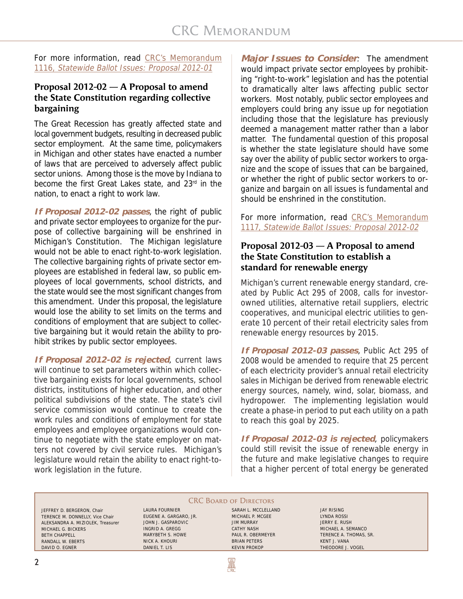For more information, read [CRC's Memorandum](http://crcmich.org/PUBLICAT/2010s/2012/memo1116.html) 1116, [Statewide Ballot Issues: Proposal 2012-01](http://crcmich.org/PUBLICAT/2010s/2012/memo1116.html)

# **Proposal 2012-02 — A Proposal to amend the State Constitution regarding collective bargaining**

The Great Recession has greatly affected state and local government budgets, resulting in decreased public sector employment. At the same time, policymakers in Michigan and other states have enacted a number of laws that are perceived to adversely affect public sector unions. Among those is the move by Indiana to become the first Great Lakes state, and 23rd in the nation, to enact a right to work law.

**If Proposal 2012-02 passes**, the right of public and private sector employees to organize for the purpose of collective bargaining will be enshrined in Michigan's Constitution. The Michigan legislature would not be able to enact right-to-work legislation. The collective bargaining rights of private sector employees are established in federal law, so public employees of local governments, school districts, and the state would see the most significant changes from this amendment. Under this proposal, the legislature would lose the ability to set limits on the terms and conditions of employment that are subject to collective bargaining but it would retain the ability to prohibit strikes by public sector employees.

**If Proposal 2012-02 is rejected**, current laws will continue to set parameters within which collective bargaining exists for local governments, school districts, institutions of higher education, and other political subdivisions of the state. The state's civil service commission would continue to create the work rules and conditions of employment for state employees and employee organizations would continue to negotiate with the state employer on matters not covered by civil service rules. Michigan's legislature would retain the ability to enact right-towork legislation in the future.

**Major Issues to Consider**: The amendment would impact private sector employees by prohibiting "right-to-work" legislation and has the potential to dramatically alter laws affecting public sector workers. Most notably, public sector employees and employers could bring any issue up for negotiation including those that the legislature has previously deemed a management matter rather than a labor matter. The fundamental question of this proposal is whether the state legislature should have some say over the ability of public sector workers to organize and the scope of issues that can be bargained, or whether the right of public sector workers to organize and bargain on all issues is fundamental and should be enshrined in the constitution.

For more information, read [CRC's Memorandum](http://crcmich.org/PUBLICAT/2010s/2012/memo1117.html) 1117, [Statewide Ballot Issues: Proposal 2012-02](http://crcmich.org/PUBLICAT/2010s/2012/memo1117.html)

#### **Proposal 2012-03 — A Proposal to amend the State Constitution to establish a standard for renewable energy**

Michigan's current renewable energy standard, created by Public Act 295 of 2008, calls for investorowned utilities, alternative retail suppliers, electric cooperatives, and municipal electric utilities to generate 10 percent of their retail electricity sales from renewable energy resources by 2015.

**If Proposal 2012-03 passes**, Public Act 295 of 2008 would be amended to require that 25 percent of each electricity provider's annual retail electricity sales in Michigan be derived from renewable electric energy sources, namely, wind, solar, biomass, and hydropower. The implementing legislation would create a phase-in period to put each utility on a path to reach this goal by 2025.

**If Proposal 2012-03 is rejected**, policymakers could still revisit the issue of renewable energy in the future and make legislative changes to require that a higher percent of total energy be generated

# **CRC BOARD OF DIRECTORS**

**AN** 

JEFFREY D. BERGERON, Chair TERENCE M. DONNELLY, Vice Chair ALEKSANDRA A. MIZIOLEK, Treasurer MICHAEL G. BICKERS BETH CHAPPELL RANDALL W. EBERTS DAVID O. EGNER

LAURA FOURNIER EUGENE A. GARGARO, JR. JOHN J. GASPAROVIC INGRID A. GREGG MARYBETH S. HOWE NICK A. KHOURI DANIEL T. LIS

SARAH L. MCCLELLAND MICHAEL P. MCGEE JIM MURRAY CATHY NASH PAUL R. OBERMEYER BRIAN PETERS KEVIN PROKOP

JAY RISING LYNDA ROSSI JERRY E. RUSH MICHAEL A. SEMANCO TERENCE A. THOMAS, SR. KENT J. VANA THEODORE J. VOGEL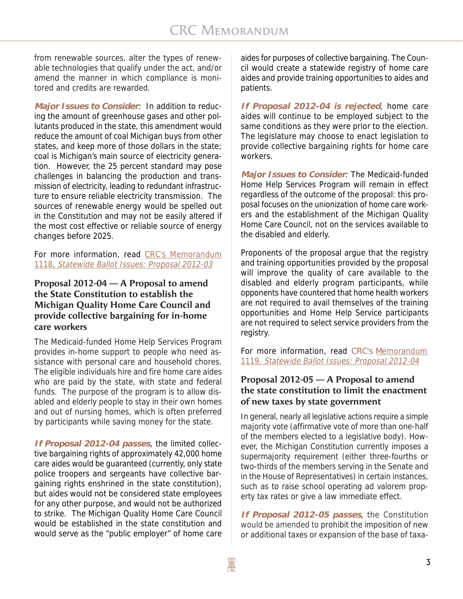from renewable sources, alter the types of renewable technologies that qualify under the act, and/or amend the manner in which compliance is monitored and credits are rewarded.

**Major Issues to Consider**: In addition to reducing the amount of greenhouse gases and other pollutants produced in the state, this amendment would reduce the amount of coal Michigan buys from other states, and keep more of those dollars in the state; coal is Michigan's main source of electricity generation. However, the 25 percent standard may pose challenges in balancing the production and transmission of electricity, leading to redundant infrastructure to ensure reliable electricity transmission. The sources of renewable energy would be spelled out in the Constitution and may not be easily altered if the most cost effective or reliable source of energy changes before 2025.

For more information, read [CRC's Memorandum](http://crcmich.org/PUBLICAT/2010s/2012/memo1118.html) 1118, [Statewide Ballot Issues: Proposal 2012-03](http://crcmich.org/PUBLICAT/2010s/2012/memo1118.html)

## **Proposal 2012-04 — A Proposal to amend the State Constitution to establish the Michigan Quality Home Care Council and provide collective bargaining for in-home care workers**

The Medicaid-funded Home Help Services Program provides in-home support to people who need assistance with personal care and household chores. The eligible individuals hire and fire home care aides who are paid by the state, with state and federal funds. The purpose of the program is to allow disabled and elderly people to stay in their own homes and out of nursing homes, which is often preferred by participants while saving money for the state.

**If Proposal 2012-04 passes**, the limited collective bargaining rights of approximately 42,000 home care aides would be guaranteed (currently, only state police troopers and sergeants have collective bargaining rights enshrined in the state constitution), but aides would not be considered state employees for any other purpose, and would not be authorized to strike. The Michigan Quality Home Care Council would be established in the state constitution and would serve as the "public employer" of home care aides for purposes of collective bargaining. The Council would create a statewide registry of home care aides and provide training opportunities to aides and patients.

**If Proposal 2012-04 is rejected**, home care aides will continue to be employed subject to the same conditions as they were prior to the election. The legislature may choose to enact legislation to provide collective bargaining rights for home care workers.

**Major Issues to Consider**: The Medicaid-funded Home Help Services Program will remain in effect regardless of the outcome of the proposal: this proposal focuses on the unionization of home care workers and the establishment of the Michigan Quality Home Care Council, not on the services available to the disabled and elderly.

Proponents of the proposal argue that the registry and training opportunities provided by the proposal will improve the quality of care available to the disabled and elderly program participants, while opponents have countered that home health workers are not required to avail themselves of the training opportunities and Home Help Service participants are not required to select service providers from the registry.

For more information, read [CRC's Memorandum](http://crcmich.org/PUBLICAT/2010s/2012/memo1119.html) 1119, [Statewide Ballot Issues: Proposal 2012-04](http://crcmich.org/PUBLICAT/2010s/2012/memo1119.html)

# **Proposal 2012-05 — A Proposal to amend the state constitution to limit the enactment of new taxes by state government**

In general, nearly all legislative actions require a simple majority vote (affirmative vote of more than one-half of the members elected to a legislative body). However, the Michigan Constitution currently imposes a supermajority requirement (either three-fourths or two-thirds of the members serving in the Senate and in the House of Representatives) in certain instances, such as to raise school operating ad valorem property tax rates or give a law immediate effect.

**If Proposal 2012-05 passes**, the Constitution would be amended to prohibit the imposition of new or additional taxes or expansion of the base of taxa